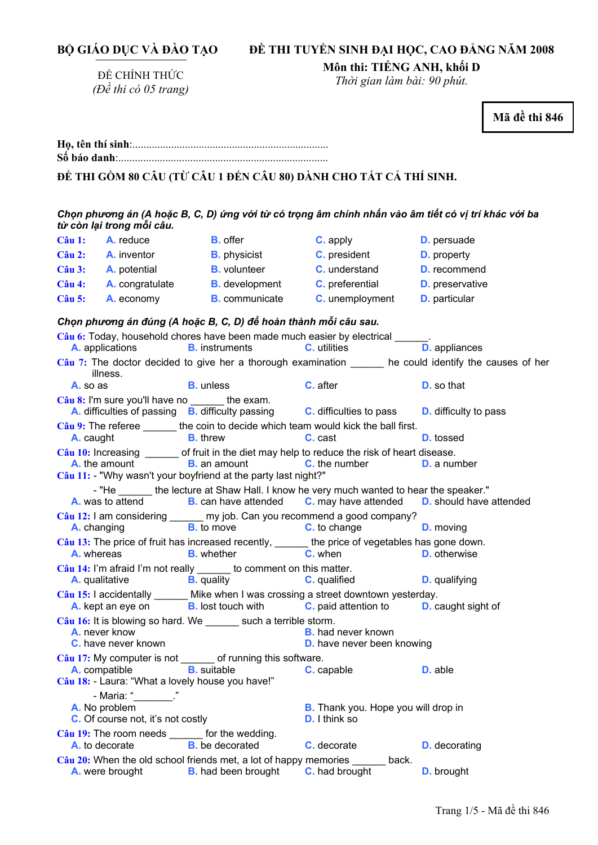ĐỀ CHÍNH THỨC *(Đề thi có 05 trang)*  **Môn thi: TIẾNG ANH, khối D**  *Thời gian làm bài: 90 phút.*  **Mã đề thi 846 <sup>H</sup>ọ, tên thí sinh**:.......................................................................... **Số báo danh**:............................................................................ **ĐỀ THI GỒM 80 CÂU (TỪ CÂU 1 ĐẾN CÂU 80) DÀNH CHO TẤT CẢ THÍ SINH.**  Chọn phương án (A hoặc B, C, D) ứng với từ có trọng âm chính nhấn vào âm tiết có vị trí khác với ba *từ còn lại trong mỗi câu.*  **Câu 1: A.** reduce **B.** offer **C.** apply **D.** persuade **Câu 2: A.** inventor **B.** physicist **C.** president **D.** property **Câu 3: A.** potential **B.** volunteer **C.** understand **D.** recommend **Câu 4: A.** congratulate **B.** development **C.** preferential **D.** preservative **Câu 5: A.** economy **B.** communicate **C.** unemployment **D.** particular *Chọn phương án đúng (A hoặc B, C, D) để hoàn thành mỗi câu sau.*  **Câu 6:** Today, household chores have been made much easier by electrical \_\_\_\_\_\_. **A.** applications **B.** instruments Câu 7: The doctor decided to give her a thorough examination he could identify the causes of her illness. **A.** so as **B.** unless **C.** after **D.** so that Câu 8: I'm sure you'll have no the exam. **A.** difficulties of passing **B.** difficulty passing **C.** difficulties to pass **D.** difficulty to pass **Câu 9:** The referee \_\_\_\_\_\_\_ the coin to decide which team would kick the ball first.<br>**A.** caught **B.** threw **C.** cast **A.** caught **B.** threw **C.** cast **D.** tossed **Câu 10:** Increasing \_\_\_\_\_\_ of fruit in the diet may help to reduce the risk of heart disease. **A.** the amount **B.** an amount **C.** the number **D.** a number **Câu 11:** - "Why wasn't your boyfriend at the party last night?" - "He \_\_\_\_\_\_ the lecture at Shaw Hall. I know he very much wanted to hear the speaker." **A.** was to attend **B.** can have attended **C.** may have attended **D.** should have attended **Câu 12:** I am considering \_\_\_\_\_\_ my job. Can you recommend a good company? **A.** changing **B.** to move **C.** to change **D.** moving **Câu 13:** The price of fruit has increased recently, \_\_\_\_\_\_ the price of vegetables has gone down. **A.** whereas **B.** whether **C.** when **D.** otherwise **Câu 14:** I'm afraid I'm not really \_\_\_\_\_\_ to comment on this matter.<br>**A.** qualitative **B.** quality **C.** qualified **A.** qualitative **B.** quality **C.** qualified **D.** qualifying **Câu 15:** I accidentally \_\_\_\_\_\_ Mike when I was crossing a street downtown yesterday. **A.** kept an eye on **B.** lost touch with **C.** paid attention to **D.** caught sight of **Câu 16:** It is blowing so hard. We \_\_\_\_\_\_ such a terrible storm. **A.** never know **B.** had never known **C.** have never known **D. D.** have never been knowing **Câu 17:** My computer is not \_\_\_\_\_\_ of running this software. **A.** compatible **B.** suitable **C.** capable **D.** able **Câu 18:** - Laura: "What a lovely house you have!" - Maria: "**\_\_\_\_\_\_\_**." **A.** No problem **B.** Thank you. Hope you will drop in **C.** Of course not, it's not costly **D.** I think so **Câu 19:** The room needs \_\_\_\_\_\_ for the wedding.<br> **A.** to decorate **B.** be decorated **A. be decorated <b>C.** decorate **D.** decorating Câu 20: When the old school friends met, a lot of happy memories back. **A.** were brought **B.** had been brought **C.** had brought **D.** brought

**ĐỀ THI TUYỂN SINH ĐẠI HỌC, CAO ĐẲNG NĂM 2008** 

**BỘ GIÁO DỤC VÀ ĐÀO TẠO**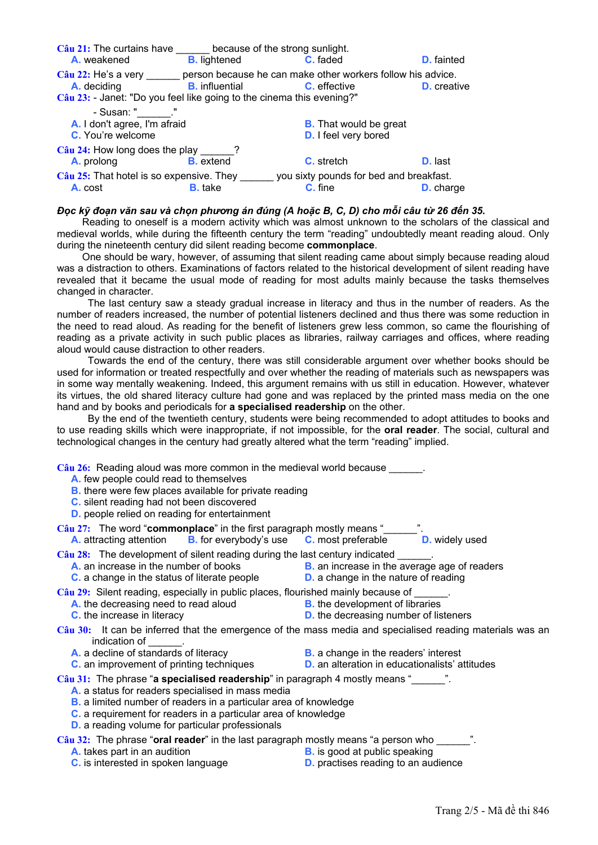| Câu 21: The curtains have                                                                                            | because of the strong sunlight. |                                                                                    |                    |
|----------------------------------------------------------------------------------------------------------------------|---------------------------------|------------------------------------------------------------------------------------|--------------------|
| A. weakened                                                                                                          | <b>B.</b> lightened             | C. faded                                                                           | <b>D.</b> fainted  |
| $C\hat{a}$ u 22: He's a very<br>A. deciding<br>Câu 23: - Janet: "Do you feel like going to the cinema this evening?" | <b>B.</b> influential           | person because he can make other workers follow his advice.<br><b>C.</b> effective | <b>D.</b> creative |
| - Susan: "              '<br>A. I don't agree, I'm afraid<br>C. You're welcome                                       |                                 | <b>B.</b> That would be great<br><b>D.</b> I feel very bored                       |                    |
| $Cau$ 24: How long does the play 2.<br><b>A.</b> prolong <b>B.</b> extend                                            |                                 | <b>C.</b> stretch                                                                  | <b>D.</b> last     |
| $Cau$ 25: That hotel is so expensive. They<br>A. cost                                                                | <b>B.</b> take                  | you sixty pounds for bed and breakfast.<br>C. fine                                 | <b>D.</b> charge   |

#### Đọc kỹ đoạn văn sau và chọn phương án đúng (A hoặc B, C, D) cho mỗi câu từ 26 đến 35.

Reading to oneself is a modern activity which was almost unknown to the scholars of the classical and medieval worlds, while during the fifteenth century the term "reading" undoubtedly meant reading aloud. Only during the nineteenth century did silent reading become **commonplace**.

 One should be wary, however, of assuming that silent reading came about simply because reading aloud was a distraction to others. Examinations of factors related to the historical development of silent reading have revealed that it became the usual mode of reading for most adults mainly because the tasks themselves changed in character.

 The last century saw a steady gradual increase in literacy and thus in the number of readers. As the number of readers increased, the number of potential listeners declined and thus there was some reduction in the need to read aloud. As reading for the benefit of listeners grew less common, so came the flourishing of reading as a private activity in such public places as libraries, railway carriages and offices, where reading aloud would cause distraction to other readers.

 Towards the end of the century, there was still considerable argument over whether books should be used for information or treated respectfully and over whether the reading of materials such as newspapers was in some way mentally weakening. Indeed, this argument remains with us still in education. However, whatever its virtues, the old shared literacy culture had gone and was replaced by the printed mass media on the one hand and by books and periodicals for **a specialised readership** on the other.

 By the end of the twentieth century, students were being recommended to adopt attitudes to books and to use reading skills which were inappropriate, if not impossible, for the **oral reader**. The social, cultural and technological changes in the century had greatly altered what the term "reading" implied.

Câu 26: Reading aloud was more common in the medieval world because

- **A.** few people could read to themselves
- **B.** there were few places available for private reading
- **C.** silent reading had not been discovered
- **D.** people relied on reading for entertainment

**Câu 27:** The word "**commonplace**" in the first paragraph mostly means "\_\_\_\_\_\_".<br>**A.** attracting attention **B.** for everybody's use **C.** most preferable **D.** widely used **A.** attracting attention **B.** for everybody's use **C.** most preferable

Câu 28: The development of silent reading during the last century indicated

- **A.** an increase in the number of books **B.** an increase in the average age of readers
- **C.** a change in the status of literate people **D.** a change in the nature of reading
- -

**Câu 29:** Silent reading, especially in public places, flourished mainly because of  $\blacksquare$ .<br>A. the decreasing need to read aloud **B.** the development of libraries

- **A.** the decreasing need to read aloud
- 
- 
- **C.** the increase in literacy **D. D.** the decreasing number of listeners

**Câu 30:** It can be inferred that the emergence of the mass media and specialised reading materials was an indication of

- 
- **A.** a decline of standards of literacy **B.** a change in the readers' interest
- **C.** an improvement of printing techniques **D.** an alteration in educationalists' attitudes
- -

**Câu 31:** The phrase "**a specialised readership**" in paragraph 4 mostly means "\_\_\_\_\_\_".

- **A.** a status for readers specialised in mass media
- **B.** a limited number of readers in a particular area of knowledge
- **C.** a requirement for readers in a particular area of knowledge
- **D.** a reading volume for particular professionals

**Câu 32:** The phrase "**oral reader**" in the last paragraph mostly means "a person who

- **A.** takes part in an audition **B.** is good at public speaking
- 
- **C.** is interested in spoken language **D.** practises reading to an audience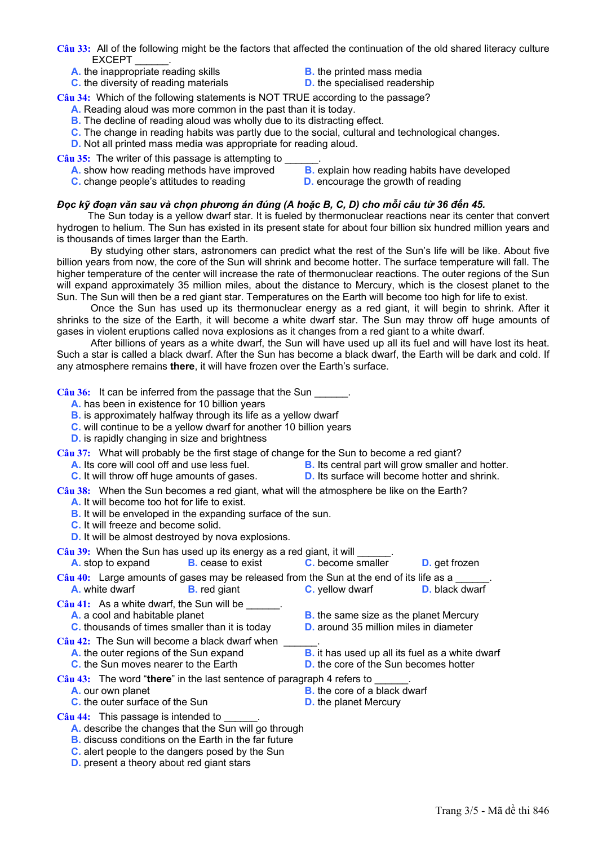**Câu 33:** All of the following might be the factors that affected the continuation of the old shared literacy culture EXCEPT

- 
- **A.** the inappropriate reading skills **B.** the printed mass media<br> **C.** the diversity of reading materials **B. D.** the specialised readership **C.** the diversity of reading materials
	-
	-

**Câu 34:** Which of the following statements is NOT TRUE according to the passage?

- **A.** Reading aloud was more common in the past than it is today.
- **B.** The decline of reading aloud was wholly due to its distracting effect.
- **C.** The change in reading habits was partly due to the social, cultural and technological changes.
- **D.** Not all printed mass media was appropriate for reading aloud.
- Câu 35: The writer of this passage is attempting to
	-
	-
	- **A.** show how reading methods have improved **B.** explain how reading habits have developed
	- **C.** change people's attitudes to reading **D.** encourage the growth of reading

## Đọc kỹ đoạn văn sau và chon phương án đúng (A hoặc B, C, D) cho mỗi câu từ 36 đến 45.

The Sun today is a yellow dwarf star. It is fueled by thermonuclear reactions near its center that convert hydrogen to helium. The Sun has existed in its present state for about four billion six hundred million years and is thousands of times larger than the Earth.

 By studying other stars, astronomers can predict what the rest of the Sun's life will be like. About five billion years from now, the core of the Sun will shrink and become hotter. The surface temperature will fall. The higher temperature of the center will increase the rate of thermonuclear reactions. The outer regions of the Sun will expand approximately 35 million miles, about the distance to Mercury, which is the closest planet to the Sun. The Sun will then be a red giant star. Temperatures on the Earth will become too high for life to exist.

 Once the Sun has used up its thermonuclear energy as a red giant, it will begin to shrink. After it shrinks to the size of the Earth, it will become a white dwarf star. The Sun may throw off huge amounts of gases in violent eruptions called nova explosions as it changes from a red giant to a white dwarf.

 After billions of years as a white dwarf, the Sun will have used up all its fuel and will have lost its heat. Such a star is called a black dwarf. After the Sun has become a black dwarf, the Earth will be dark and cold. If any atmosphere remains **there**, it will have frozen over the Earth's surface.

Câu 36: It can be inferred from the passage that the Sun **canceler** 

**A.** has been in existence for 10 billion years

**B.** is approximately halfway through its life as a yellow dwarf

- **C.** will continue to be a yellow dwarf for another 10 billion years
- **D.** is rapidly changing in size and brightness

**Câu 37:** What will probably be the first stage of change for the Sun to become a red giant?

- **A.** Its core will cool off and use less fuel. **B.** Its central part will grow smaller and hotter.
- **C.** It will throw off huge amounts of gases. **D.** Its surface will become hotter and shrink.
- 
- **Câu 38:** When the Sun becomes a red giant, what will the atmosphere be like on the Earth?
	- **A.** It will become too hot for life to exist.
	- **B.** It will be enveloped in the expanding surface of the sun.
	- **C.** It will freeze and become solid.
	- **D.** It will be almost destroyed by nova explosions.

Câu 39: When the Sun has used up its energy as a red giant, it will **will** will

| <b>A.</b> stop to expand                                                                                                                         | <b>B.</b> cease to exist                                                       | <b>C.</b> become smaller                                                                                          | <b>D.</b> get frozen  |
|--------------------------------------------------------------------------------------------------------------------------------------------------|--------------------------------------------------------------------------------|-------------------------------------------------------------------------------------------------------------------|-----------------------|
| <b>A.</b> white dwarf                                                                                                                            | <b>B.</b> red giant                                                            | Câu 40: Large amounts of gases may be released from the Sun at the end of its life as a<br><b>C.</b> yellow dwarf | <b>D.</b> black dwarf |
| $C\hat{a}$ u 41: As a white dwarf, the Sun will be<br>A. a cool and habitable planet                                                             | <b>C.</b> thousands of times smaller than it is today                          | <b>B.</b> the same size as the planet Mercury<br>D. around 35 million miles in diameter                           |                       |
| $C\hat{a}$ u 42: The Sun will become a black dwarf when<br>A. the outer regions of the Sun expand<br><b>C.</b> the Sun moves nearer to the Earth |                                                                                | <b>B.</b> it has used up all its fuel as a white dwarf<br><b>D.</b> the core of the Sun becomes hotter            |                       |
| A. our own planet<br><b>C.</b> the outer surface of the Sun                                                                                      | $C\hat{a}u$ 43: The word "there" in the last sentence of paragraph 4 refers to | <b>B.</b> the core of a black dwarf<br><b>D.</b> the planet Mercury                                               |                       |
| $C\hat{a}$ u 44: This passage is intended to                                                                                                     | A describe the changes that the Cun will go through                            |                                                                                                                   |                       |

**A.** describe the changes that the Sun will go through

- **B.** discuss conditions on the Earth in the far future
- **C.** alert people to the dangers posed by the Sun
- **D.** present a theory about red giant stars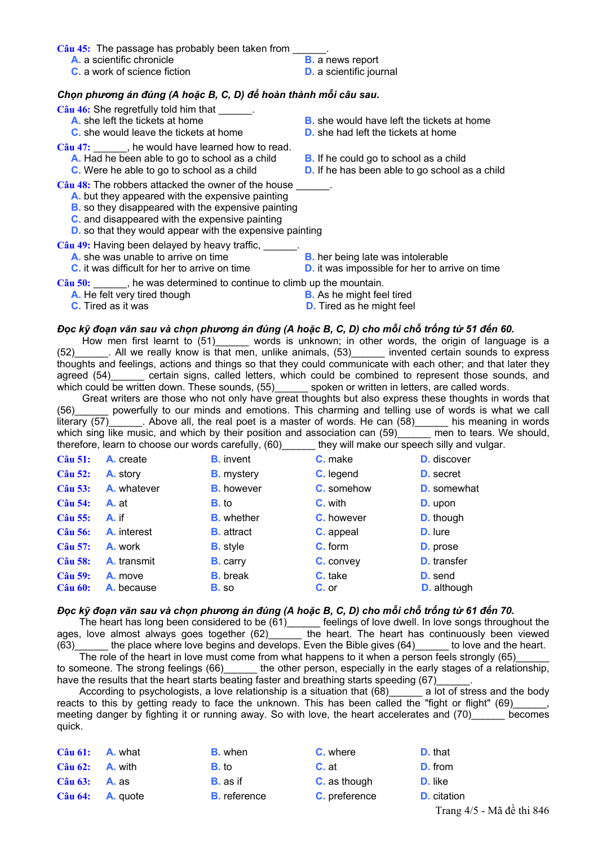Câu 45: The passage has probably been taken from

- **A.** a scientific chronicle **B.** a news report
- **C.** a work of science fiction **D.** a scientific journal
- -

# *Chọn phương án đúng (A hoặc B, C, D) để hoàn thành mỗi câu sau***.**

Câu 46: She regretfully told him that

- 
- **C.** she would leave the tickets at home **D.** she had left the tickets at home

Câu 47: Fig. , he would have learned how to read.

- **A.** Had he been able to go to school as a child **B.** If he could go to school as a child
- 

Câu 48: The robbers attacked the owner of the house

- **A.** but they appeared with the expensive painting
- **B.** so they disappeared with the expensive painting
- **C.** and disappeared with the expensive painting
- **D.** so that they would appear with the expensive painting

Câu 49: Having been delayed by heavy traffic, \_\_\_\_

- **A.** she was unable to arrive on time **B.** her being late was intolerable
- 
- **A.** she left the tickets at home **B.** she would have left the tickets at home
	-
	-
- **C.** Were he able to go to school as a child **D.** If he has been able to go school as a child
	-
- **C.** it was difficult for her to arrive on time **D.** it was impossible for her to arrive on time

Câu 50: The was determined to continue to climb up the mountain.

- **A.** He felt very tired though **B.** As he might feel tired
	-
- 
- 

#### Đọc kỹ đoạn văn sau và chon phương án đúng (A hoặc B, C, D) cho mỗi chỗ trống từ 51 đến 60.

How men first learnt to (51)\_\_\_\_\_\_ words is unknown; in other words, the origin of language is a (52)\_\_\_\_\_\_. All we really know is that men, unlike animals, (53)\_\_\_\_\_\_ invented certain sounds to express thoughts and feelings, actions and things so that they could communicate with each other; and that later they agreed (54) certain signs, called letters, which could be combined to represent those sounds, and which could be written down. These sounds, (55)\_\_\_\_\_\_\_ spoken or written in letters, are called words.

 Great writers are those who not only have great thoughts but also express these thoughts in words that (56)\_\_\_\_\_\_ powerfully to our minds and emotions. This charming and telling use of words is what we call literary (57) \_\_\_\_\_\_. Above all, the real poet is a master of words. He can (58)\_\_\_\_\_\_\_ his meaning in words which sing like music, and which by their position and association can  $(59)$  men to tears. We should, therefore, learn to choose our words carefully, (60) they will make our speech silly and vulgar.

| <b>Câu 51:</b>                   | A. create             | <b>B.</b> invent                | C. make            | <b>D.</b> discover                   |
|----------------------------------|-----------------------|---------------------------------|--------------------|--------------------------------------|
| <b>Câu 52:</b>                   | A. story              | <b>B.</b> mystery               | C. legend          | <b>D.</b> secret                     |
| <b>Câu 53:</b>                   | A. whatever           | <b>B.</b> however               | <b>C.</b> somehow  | <b>D.</b> somewhat                   |
| <b>Câu 54:</b>                   | A. at                 | <b>B.</b> to                    | <b>C.</b> with     | <b>D.</b> upon                       |
| <b>Câu 55:</b>                   | A. if                 | <b>B.</b> whether               | <b>C.</b> however  | <b>D.</b> though                     |
| <b>Câu 56:</b>                   | <b>A.</b> interest    | <b>B.</b> attract               | C. appeal          | <b>D.</b> lure                       |
| <b>Câu 57:</b>                   | <b>A.</b> work        | <b>B.</b> style                 | <b>C.</b> form     | <b>D.</b> prose                      |
| <b>Câu 58:</b>                   | A. transmit           | <b>B.</b> carry                 | C. convey          | <b>D.</b> transfer                   |
| <b>Câu 59:</b><br><b>Câu 60:</b> | A. move<br>A. because | <b>B.</b> break<br><b>B.</b> so | C. take<br>$C.$ or | <b>D.</b> send<br><b>D.</b> although |

## Đọc kỹ đoạn văn sau và chon phương án đúng (A hoặc B. C. D) cho mỗi chỗ trống từ 61 đến 70.

The heart has long been considered to be (61)\_\_\_\_\_\_ feelings of love dwell. In love songs throughout the ages, love almost always goes together  $(62)$  and the heart. The heart has continuously been viewed (63) the place where love begins and develops. Even the Bible gives (64) to love and the heart. The role of the heart in love must come from what happens to it when a person feels strongly (65)

to someone. The strong feelings (66)\_\_\_\_\_\_ the other person, especially in the early stages of a relationship, have the results that the heart starts beating faster and breathing starts speeding (67)

According to psychologists, a love relationship is a situation that (68)\_\_\_\_\_\_ a lot of stress and the body reacts to this by getting ready to face the unknown. This has been called the "fight or flight" (69)\_\_\_\_\_\_, meeting danger by fighting it or running away. So with love, the heart accelerates and (70) becomes quick.

| $C\hat{a}$ u 61: <b>A.</b> what  | <b>B.</b> when      | C. where             | <b>D.</b> that     |
|----------------------------------|---------------------|----------------------|--------------------|
| $Cau(62)$ : A. with              | <b>B.</b> to        | C. at                | <b>D.</b> from     |
| $C\hat{a}$ u 63: <b>A.</b> as    | <b>B.</b> as if     | <b>C.</b> as though  | <b>D.</b> like     |
| $C\hat{a}$ u 64: <b>A.</b> quote | <b>B.</b> reference | <b>C.</b> preference | <b>D.</b> citation |

Trang 4/5 - Mã đề thi 846

- -
- **C.** Tired as it was **D.** Tired as he might feel